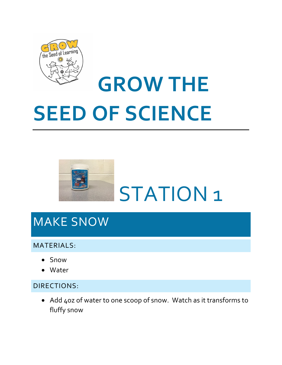

# **GROW THE SEED OF SCIENCE**



### MAKE SNOW

#### MATERIALS:

- Snow
- Water

#### DIRECTIONS:

• Add 4oz of water to one scoop of snow. Watch as it transforms to fluffy snow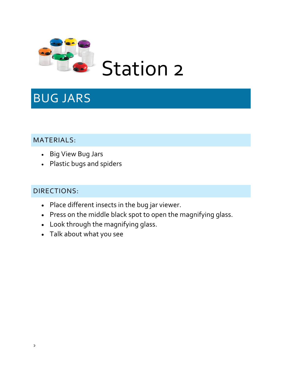

### BUG JARS

#### MATERIALS:

- Big View Bug Jars
- Plastic bugs and spiders

- Place different insects in the bug jar viewer.
- Press on the middle black spot to open the magnifying glass.
- Look through the magnifying glass.
- Talk about what you see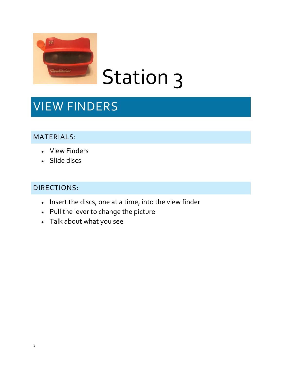

## Station 3

## VIEW FINDERS

#### MATERIALS:

- View Finders
- Slide discs

- Insert the discs, one at a time, into the view finder
- Pull the lever to change the picture
- Talk about what you see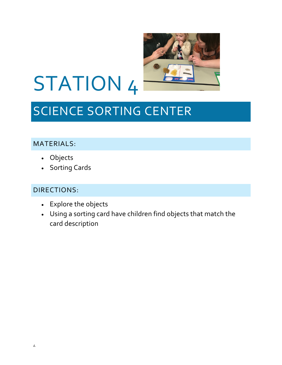

# STATION 4

## SCIENCE SORTING CENTER

#### MATERIALS:

- Objects
- Sorting Cards

- Explore the objects
- Using a sorting card have children find objects that match the card description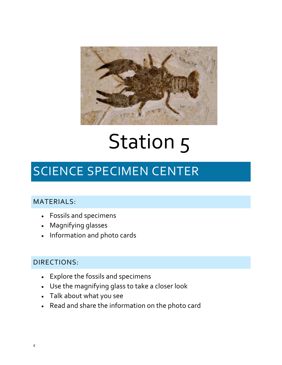

# Station 5

## SCIENCE SPECIMEN CENTER

#### MATERIALS:

- Fossils and specimens
- Magnifying glasses
- Information and photo cards

- Explore the fossils and specimens
- Use the magnifying glass to take a closer look
- Talk about what you see
- Read and share the information on the photo card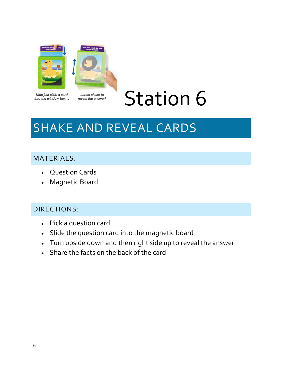

Kids just slide a card into the window box...

...then shake to reveal the answer!

## Station 6

## SHAKE AND REVEAL CARDS

#### MATERIALS:

- Question Cards
- Magnetic Board

- Pick a question card
- Slide the question card into the magnetic board
- Turn upside down and then right side up to reveal the answer
- Share the facts on the back of the card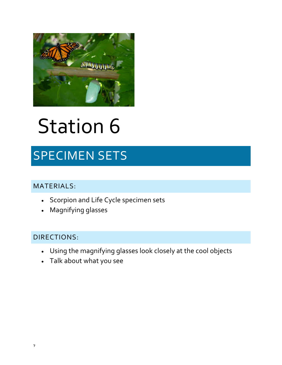

## Station 6

## SPECIMEN SETS

#### MATERIALS:

- Scorpion and Life Cycle specimen sets
- Magnifying glasses

- Using the magnifying glasses look closely at the cool objects
- Talk about what you see